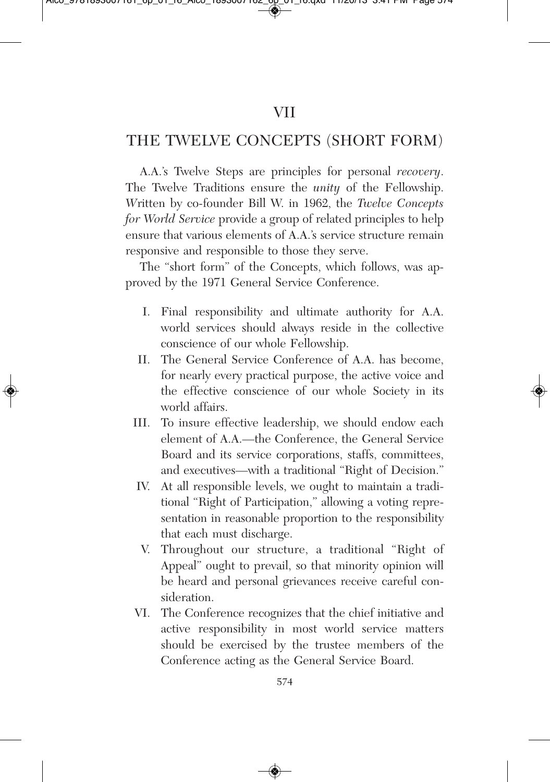## THE TWELVE CONCEPTS (SHORT FORM)

A.A.'s Twelve Steps are principles for personal *recovery*. The Twelve Traditions ensure the *unity* of the Fellowship. *W*ritten by co-founder Bill W. in 1962, the *Twelve Concepts for World Service* provide a group of related principles to help ensure that various elements of A.A.'s service structure remain responsive and responsible to those they serve.

The "short form" of the Concepts, which follows, was approved by the 1971 General Service Conference.

- I. Final responsibility and ultimate authority for A.A. world services should always reside in the collective conscience of our whole Fellowship.
- II. The General Service Conference of A.A. has become, for nearly every practical purpose, the active voice and the effective conscience of our whole Society in its world affairs.
- III. To insure effective leadership, we should endow each element of A.A.—the Conference, the General Service Board and its service corporations, staffs, committees, and executives—with a traditional "Right of Decision."
- IV. At all responsible levels, we ought to maintain a traditional "Right of Participation," allowing a voting representation in reasonable proportion to the responsibility that each must discharge.
- V. Throughout our structure, a traditional "Right of Appeal" ought to prevail, so that minority opinion will be heard and personal grievances receive careful consideration.
- VI. The Conference recognizes that the chief initiative and active responsibility in most world service matters should be exercised by the trustee members of the Conference acting as the General Service Board.